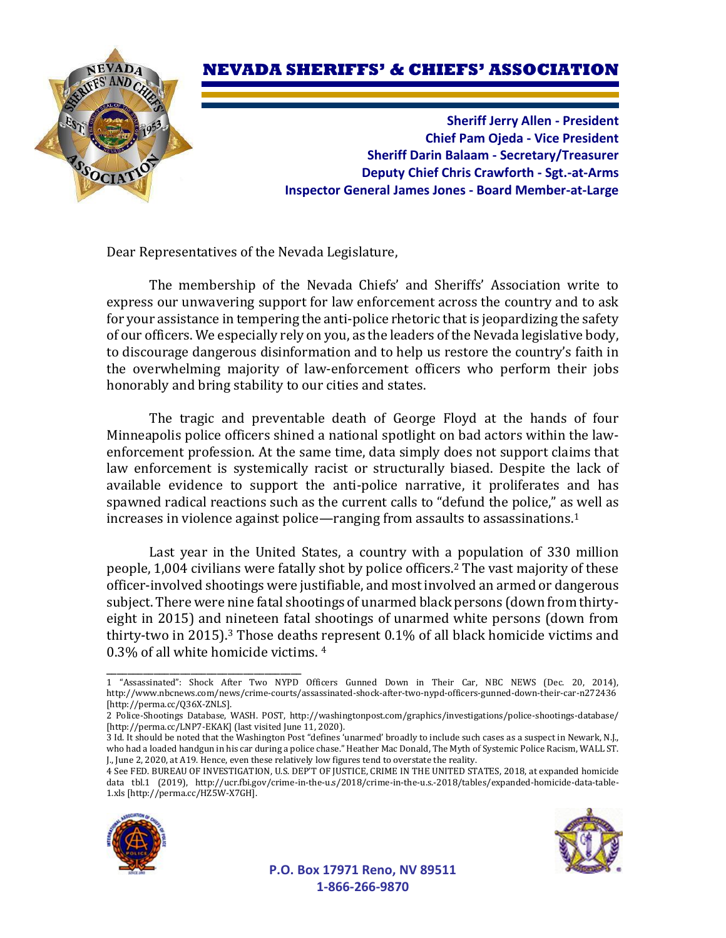## **NEVADA SHERIFFS' & CHIEFS' ASSOCIATION**



**Sheriff Jerry Allen - President Chief Pam Ojeda - Vice President Sheriff Darin Balaam - Secretary/Treasurer Deputy Chief Chris Crawforth - Sgt.-at-Arms Inspector General James Jones - Board Member-at-Large**

Dear Representatives of the Nevada Legislature,

The membership of the Nevada Chiefs' and Sheriffs' Association write to express our unwavering support for law enforcement across the country and to ask for your assistance in tempering the anti-police rhetoric that is jeopardizing the safety of our officers. We especially rely on you, as the leaders ofthe Nevada legislative body, to discourage dangerous disinformation and to help us restore the country's faith in the overwhelming majority of law-enforcement officers who perform their jobs honorably and bring stability to our cities and states.

The tragic and preventable death of George Floyd at the hands of four Minneapolis police officers shined a national spotlight on bad actors within the lawenforcement profession. At the same time, data simply does not support claims that law enforcement is systemically racist or structurally biased. Despite the lack of available evidence to support the anti-police narrative, it proliferates and has spawned radical reactions such as the current calls to "defund the police," as well as increases in violence against police—ranging from assaults to assassinations.<sup>1</sup>

Last year in the United States, a country with a population of 330 million people, 1,004 civilians were fatally shot by police officers.<sup>2</sup> The vast majority of these officer-involved shootings were justifiable, and most involved an armed or dangerous subject. There were nine fatal shootings of unarmed black persons (down from thirtyeight in 2015) and nineteen fatal shootings of unarmed white persons (down from thirty-two in 2015).<sup>3</sup> Those deaths represent  $0.1\%$  of all black homicide victims and 0.3% of all white homicide victims. <sup>4</sup>

<sup>4</sup> See FED. BUREAU OF INVESTIGATION, U.S. DEP'T OF JUSTICE, CRIME IN THE UNITED STATES, 2018, at expanded homicide data tbl.1 (2019), http://ucr.fbi.gov/crime-in-the-u.s/2018/crime-in-the-u.s.-2018/tables/expanded-homicide-data-table-1.xls [http://perma.cc/HZ5W-X7GH].



\_\_\_\_\_\_\_\_\_\_\_\_\_\_\_\_\_\_\_\_\_\_\_\_\_\_\_\_\_\_\_\_\_\_\_\_\_



**P.O. Box 17971 Reno, NV 89511 1-866-266-9870**

<sup>1</sup> "Assassinated": Shock After Two NYPD Officers Gunned Down in Their Car, NBC NEWS (Dec. 20, 2014), http://www.nbcnews.com/news/crime-courts/assassinated-shock-after-two-nypd-officers-gunned-down-their-car-n272436 [http://perma.cc/Q36X-ZNLS].

<sup>2</sup> Police-Shootings Database, WASH. POST, http://washingtonpost.com/graphics/investigations/police-shootings-database/ [http://perma.cc/LNP7-EKAK] (last visited June 11, 2020).

<sup>3</sup> Id. It should be noted that the Washington Post "defines 'unarmed' broadly to include such cases as a suspect in Newark, N.J., who had a loaded handgun in his car during a police chase." Heather Mac Donald, The Myth of Systemic Police Racism, WALL ST. J., June 2, 2020, at A19. Hence, even these relatively low figures tend to overstate the reality.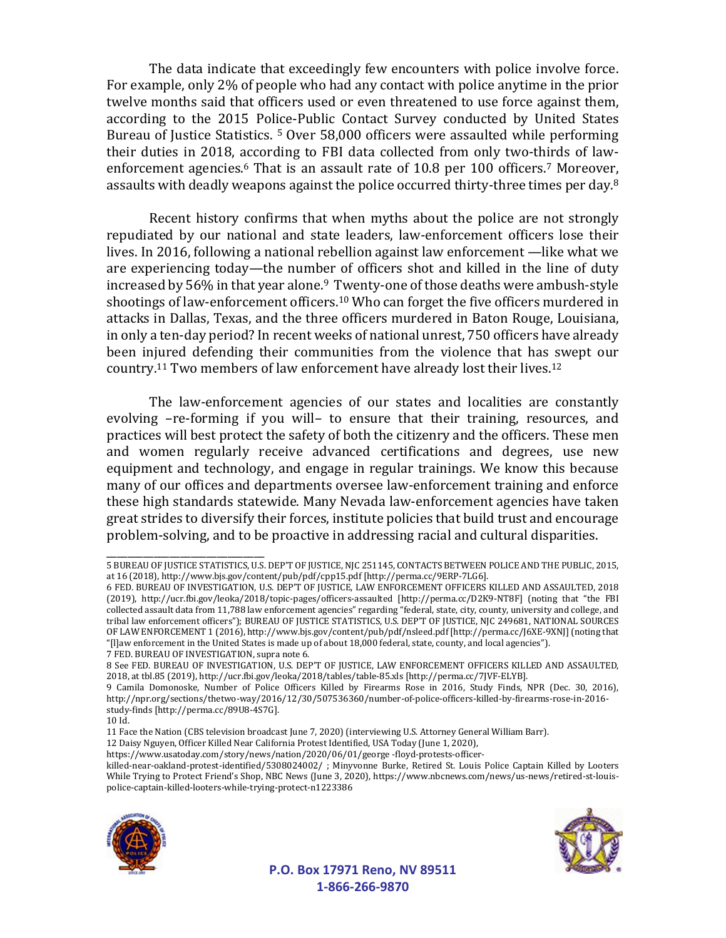The data indicate that exceedingly few encounters with police involve force. For example, only 2% of people who had any contact with police anytime in the prior twelve months said that officers used or even threatened to use force against them, according to the 2015 Police-Public Contact Survey conducted by United States Bureau of Justice Statistics. <sup>5</sup> Over 58,000 officers were assaulted while performing their duties in 2018, according to FBI data collected from only two-thirds of lawenforcement agencies.<sup>6</sup> That is an assault rate of 10.8 per 100 officers.<sup>7</sup> Moreover, assaults with deadly weapons against the police occurred thirty-three times per day.<sup>8</sup>

Recent history confirms that when myths about the police are not strongly repudiated by our national and state leaders, law-enforcement officers lose their lives. In 2016, following a national rebellion against law enforcement —like what we are experiencing today—the number of officers shot and killed in the line of duty increased by 56% in that year alone.<sup>9</sup> Twenty-one of those deaths were ambush-style shootings of law-enforcement officers.<sup>10</sup> Who can forget the five officers murdered in attacks in Dallas, Texas, and the three officers murdered in Baton Rouge, Louisiana, in only a ten-day period? In recent weeks of national unrest, 750 officers have already been injured defending their communities from the violence that has swept our country.<sup>11</sup> Two members of law enforcement have already lost their lives.<sup>12</sup>

The law-enforcement agencies of our states and localities are constantly evolving –re-forming if you will– to ensure that their training, resources, and practices will best protect the safety of both the citizenry and the officers. These men and women regularly receive advanced certifications and degrees, use new equipment and technology, and engage in regular trainings. We know this because many of our offices and departments oversee law-enforcement training and enforce these high standards statewide. Many Nevada law-enforcement agencies have taken great strides to diversify their forces, institute policies that build trust and encourage problem-solving, and to be proactive in addressing racial and cultural disparities.

\_\_\_\_\_\_\_\_\_\_\_\_\_\_\_\_\_\_\_\_\_\_\_\_\_\_\_\_\_\_

12 Daisy Nguyen, Officer Killed Near California Protest Identified, USA Today (June 1, 2020),

killed-near-oakland-protest-identified/5308024002/ ; Minyvonne Burke, Retired St. Louis Police Captain Killed by Looters While Trying to Protect Friend's Shop, NBC News (June 3, 2020), https://www.nbcnews.com/news/us-news/retired-st-louispolice-captain-killed-looters-while-trying-protect-n1223386





**P.O. Box 17971 Reno, NV 89511 1-866-266-9870**

<sup>5</sup> BUREAU OF JUSTICE STATISTICS, U.S. DEP'T OF JUSTICE, NJC 251145, CONTACTS BETWEEN POLICE AND THE PUBLIC, 2015, at 16 (2018), http://www.bjs.gov/content/pub/pdf/cpp15.pdf [http://perma.cc/9ERP-7LG6].

<sup>6</sup> FED. BUREAU OF INVESTIGATION, U.S. DEP'T OF JUSTICE, LAW ENFORCEMENT OFFICERS KILLED AND ASSAULTED, 2018 (2019), http://ucr.fbi.gov/leoka/2018/topic-pages/officers-assaulted [http://perma.cc/D2K9-NT8F] (noting that "the FBI collected assault data from 11,788 law enforcement agencies" regarding "federal, state, city, county, university and college, and tribal law enforcement officers"); BUREAU OF JUSTICE STATISTICS, U.S. DEP'T OF JUSTICE, NJC 249681, NATIONAL SOURCES OF LAW ENFORCEMENT 1 (2016), http://www.bjs.gov/content/pub/pdf/nsleed.pdf [http://perma.cc/J6XE-9XNJ](noting that "[l]aw enforcement in the United States is made up of about 18,000 federal, state, county, and local agencies"). 7 FED. BUREAU OF INVESTIGATION, supra note 6.

<sup>8</sup> See FED. BUREAU OF INVESTIGATION, U.S. DEP'T OF JUSTICE, LAW ENFORCEMENT OFFICERS KILLED AND ASSAULTED, 2018, at tbl.85 (2019), http://ucr.fbi.gov/leoka/2018/tables/table-85.xls [http://perma.cc/7JVF-ELYB].

<sup>9</sup> Camila Domonoske, Number of Police Officers Killed by Firearms Rose in 2016, Study Finds, NPR (Dec. 30, 2016), http://npr.org/sections/thetwo-way/2016/12/30/507536360/number-of-police-officers-killed-by-firearms-rose-in-2016 study-finds [http://perma.cc/89U8-4S7G].

<sup>10</sup> Id.

<sup>11</sup> Face the Nation (CBS television broadcast June 7, 2020) (interviewing U.S. Attorney General William Barr).

https://www.usatoday.com/story/news/nation/2020/06/01/george -floyd-protests-officer-